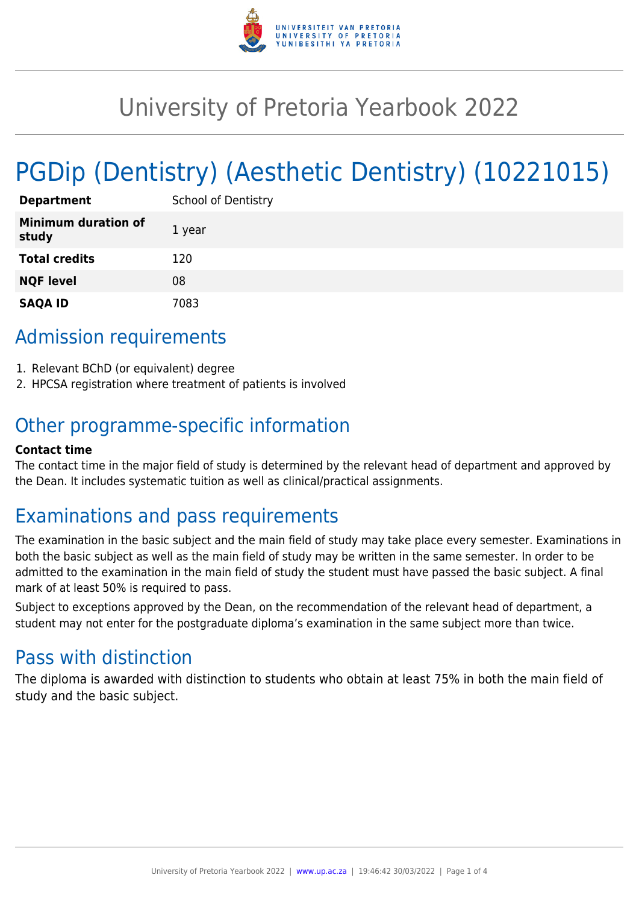

# University of Pretoria Yearbook 2022

# PGDip (Dentistry) (Aesthetic Dentistry) (10221015)

| <b>Department</b>                   | <b>School of Dentistry</b> |
|-------------------------------------|----------------------------|
| <b>Minimum duration of</b><br>study | 1 year                     |
| <b>Total credits</b>                | 120                        |
| <b>NQF level</b>                    | 08                         |
| <b>SAQA ID</b>                      | 7083                       |

# Admission requirements

- 1. Relevant BChD (or equivalent) degree
- 2. HPCSA registration where treatment of patients is involved

# Other programme-specific information

#### **Contact time**

The contact time in the major field of study is determined by the relevant head of department and approved by the Dean. It includes systematic tuition as well as clinical/practical assignments.

## Examinations and pass requirements

The examination in the basic subject and the main field of study may take place every semester. Examinations in both the basic subject as well as the main field of study may be written in the same semester. In order to be admitted to the examination in the main field of study the student must have passed the basic subject. A final mark of at least 50% is required to pass.

Subject to exceptions approved by the Dean, on the recommendation of the relevant head of department, a student may not enter for the postgraduate diploma's examination in the same subject more than twice.

## Pass with distinction

The diploma is awarded with distinction to students who obtain at least 75% in both the main field of study and the basic subject.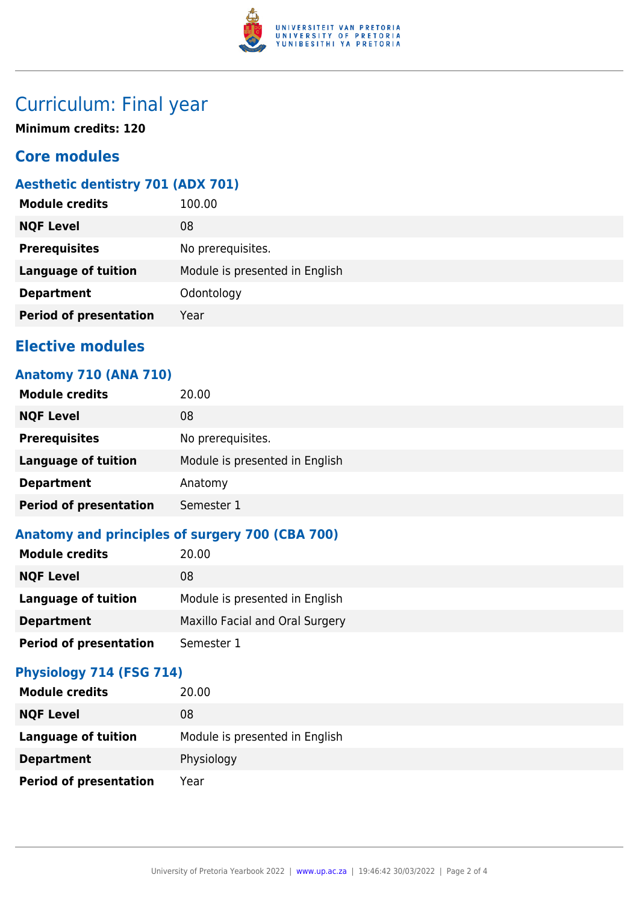

# Curriculum: Final year

**Minimum credits: 120**

## **Core modules**

## **Aesthetic dentistry 701 (ADX 701)**

| <b>Module credits</b>         | 100.00                         |
|-------------------------------|--------------------------------|
| <b>NQF Level</b>              | 08                             |
| <b>Prerequisites</b>          | No prerequisites.              |
| <b>Language of tuition</b>    | Module is presented in English |
| <b>Department</b>             | Odontology                     |
| <b>Period of presentation</b> | Year                           |
|                               |                                |

## **Elective modules**

## **Anatomy 710 (ANA 710)**

| <b>Module credits</b>         | 20.00                          |
|-------------------------------|--------------------------------|
| <b>NQF Level</b>              | 08                             |
| <b>Prerequisites</b>          | No prerequisites.              |
| <b>Language of tuition</b>    | Module is presented in English |
| <b>Department</b>             | Anatomy                        |
| <b>Period of presentation</b> | Semester 1                     |

## **Anatomy and principles of surgery 700 (CBA 700)**

| <b>Module credits</b>         | 20.00                           |
|-------------------------------|---------------------------------|
| <b>NQF Level</b>              | 08                              |
| <b>Language of tuition</b>    | Module is presented in English  |
| <b>Department</b>             | Maxillo Facial and Oral Surgery |
| <b>Period of presentation</b> | Semester 1                      |

## **Physiology 714 (FSG 714)**

| <b>Module credits</b>         | 20.00                          |
|-------------------------------|--------------------------------|
| <b>NQF Level</b>              | 08                             |
| <b>Language of tuition</b>    | Module is presented in English |
| <b>Department</b>             | Physiology                     |
| <b>Period of presentation</b> | Year                           |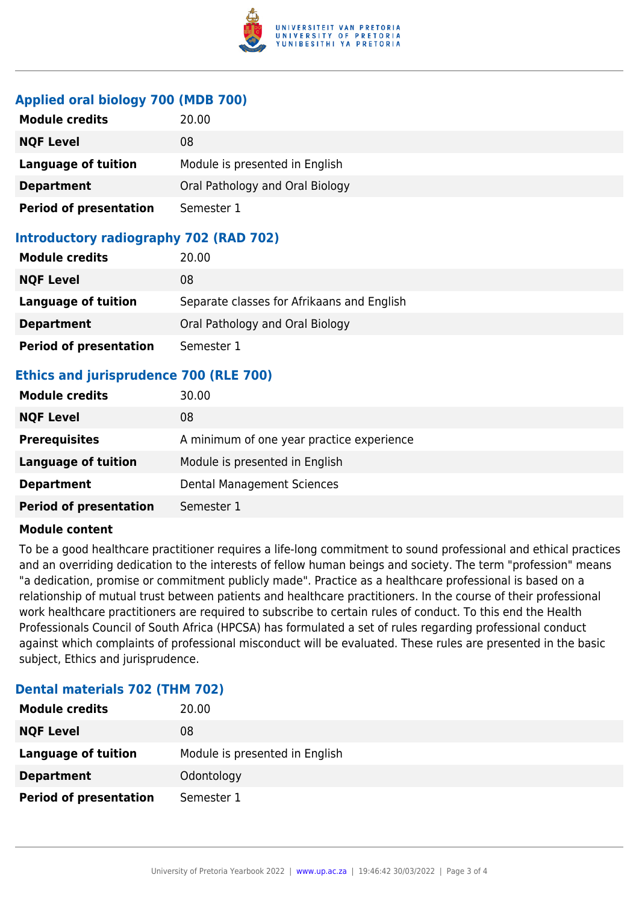

#### **Applied oral biology 700 (MDB 700)**

| <b>Module credits</b>         | 20.00                           |
|-------------------------------|---------------------------------|
| <b>NQF Level</b>              | 08                              |
| <b>Language of tuition</b>    | Module is presented in English  |
| <b>Department</b>             | Oral Pathology and Oral Biology |
| <b>Period of presentation</b> | Semester 1                      |

### **Introductory radiography 702 (RAD 702)**

| <b>Module credits</b>         | 20.00                                      |
|-------------------------------|--------------------------------------------|
| <b>NQF Level</b>              | 08                                         |
| Language of tuition           | Separate classes for Afrikaans and English |
| <b>Department</b>             | Oral Pathology and Oral Biology            |
| <b>Period of presentation</b> | Semester 1                                 |

## **Ethics and jurisprudence 700 (RLE 700)**

| <b>Module credits</b>         | 30.00                                     |
|-------------------------------|-------------------------------------------|
| <b>NQF Level</b>              | 08                                        |
| <b>Prerequisites</b>          | A minimum of one year practice experience |
| Language of tuition           | Module is presented in English            |
| <b>Department</b>             | Dental Management Sciences                |
| <b>Period of presentation</b> | Semester 1                                |

#### **Module content**

To be a good healthcare practitioner requires a life-long commitment to sound professional and ethical practices and an overriding dedication to the interests of fellow human beings and society. The term "profession" means "a dedication, promise or commitment publicly made". Practice as a healthcare professional is based on a relationship of mutual trust between patients and healthcare practitioners. In the course of their professional work healthcare practitioners are required to subscribe to certain rules of conduct. To this end the Health Professionals Council of South Africa (HPCSA) has formulated a set of rules regarding professional conduct against which complaints of professional misconduct will be evaluated. These rules are presented in the basic subject, Ethics and jurisprudence.

#### **Dental materials 702 (THM 702)**

| <b>Module credits</b>         | 20.00                          |
|-------------------------------|--------------------------------|
| <b>NQF Level</b>              | 08                             |
| Language of tuition           | Module is presented in English |
| <b>Department</b>             | Odontology                     |
| <b>Period of presentation</b> | Semester 1                     |